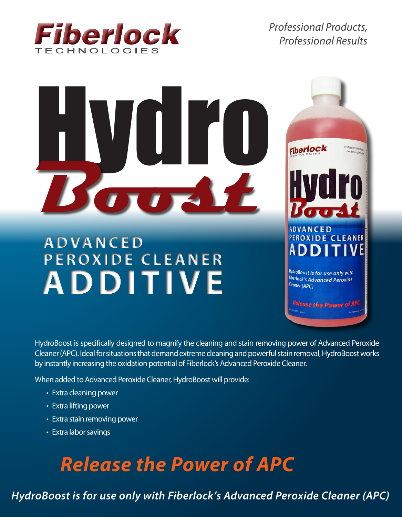

*Professional Products, Professional Results*



HydroBoost is specifically designed to magnify the cleaning and stain removing power of Advanced Peroxide Cleaner (APC). Ideal for situations that demand extreme cleaning and powerful stain removal, HydroBoost works by instantly increasing the oxidation potential of Fiberlock's Advanced Peroxide Cleaner.

When added to Advanced Peroxide Cleaner, HydroBoost will provide:

**ADVANCED PEROXIDE CLEANER**

**ADDITIVE**

**ADDITIVE** 

**ADDITIVE**

- Extra cleaning power
- Extra lifting power
- Extra stain removing power

**ADVANCED**

• Extra labor savings

# *Release the Power of APC*

*HydroBoost is for use only with Fiberlock's Advanced Peroxide Cleaner (APC)*